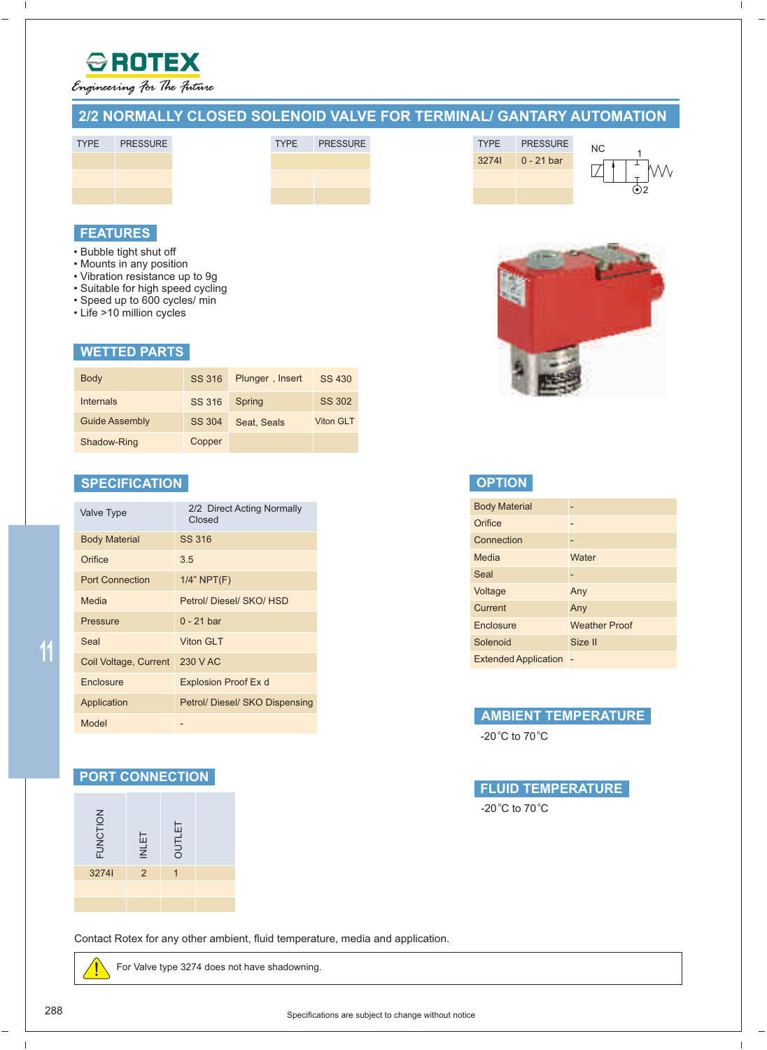

 $\overline{\phantom{a}}$ 

Engineering For The Future

# **2/2 NORMALLY CLOSED SOLENOID VALVE FOR TERMINAL/ GANTARY AUTOMATION**





# **FEATURES**

- Bubble tight shut off
- Mounts in any position
- Vibration resistance up to 9g
- Suitable for high speed cycling
- Speed up to 600 cycles/ min
- Life >10 million cycles

#### **WETTED PARTS**

| <b>Body</b>           | SS 316 | Plunger, Insert | SS 430           |
|-----------------------|--------|-----------------|------------------|
| Internals             | SS 316 | Spring          | SS 302           |
| <b>Guide Assembly</b> | SS 304 | Seat, Seals     | <b>Viton GLT</b> |
| Shadow-Ring           | Copper |                 |                  |

### **SPECIFICATION**

| <b>Valve Type</b>      | 2/2 Direct Acting Normally<br>Closed |
|------------------------|--------------------------------------|
| <b>Body Material</b>   | <b>SS 316</b>                        |
| Orifice                | 3.5                                  |
| <b>Port Connection</b> | $1/4$ " NPT $(F)$                    |
| Media                  | Petrol/Diesel/SKO/HSD                |
| <b>Pressure</b>        | $0 - 21$ bar                         |
| Seal                   | Viton GI T                           |
| Coil Voltage, Current  | 230 V AC                             |
| Enclosure              | Explosion Proof Ex d                 |
| Application            | Petrol/ Diesel/ SKO Dispensing       |
| Model                  |                                      |

#### **PORT CONNECTION**

| <b>FUNCTION</b> | <b>INLET</b> | <b>OUTLET</b> |  |
|-----------------|--------------|---------------|--|
| 32741           | 2            |               |  |
|                 |              |               |  |
|                 |              |               |  |

Contact Rotex for any other ambient, fluid temperature, media and application.

For Valve type 3274 does not have shadowning.



N<sub>C</sub>

 $\overline{V}$ 

2

3274I 0 - 21 bar TYPE PRESSURE

|  | <b>OPTION</b> |  |
|--|---------------|--|
|  |               |  |
|  |               |  |

| <b>Body Material</b>        |                      |
|-----------------------------|----------------------|
| Orifice                     |                      |
| Connection                  |                      |
| Media                       | Water                |
| Seal                        |                      |
| Voltage                     | Any                  |
| Current                     | Any                  |
| <b>Enclosure</b>            | <b>Weather Proof</b> |
| Solenoid                    | Size II              |
| <b>Extended Application</b> |                      |

#### **AMBIENT TEMPERATURE**

-20 °C to 70 °C



Specifications are subject to change without notice 288

**11**